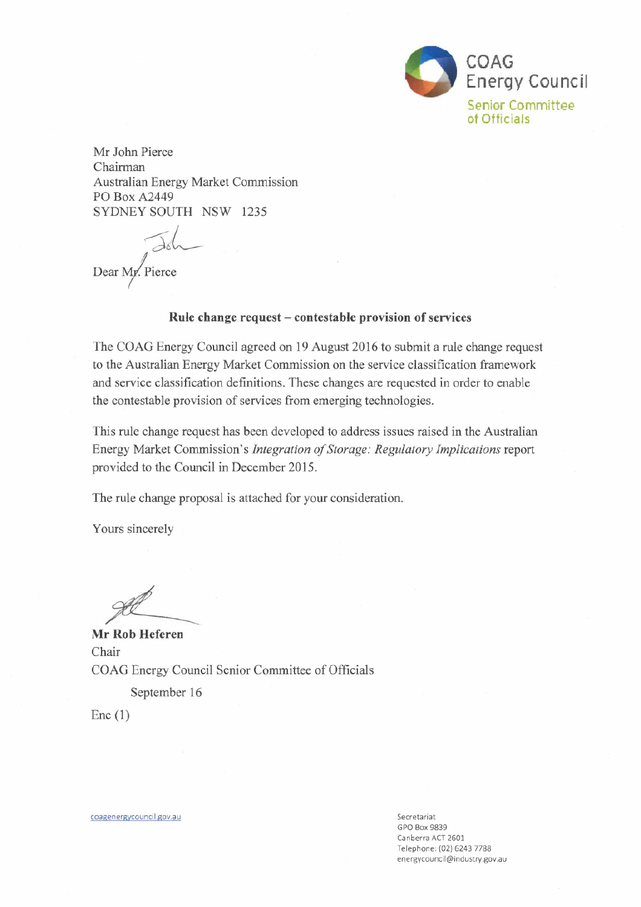

Mr John Pierce Chairman Australian Energy Market Commission **PO Box A2449** SYDNEY SOUTH NSW 1235

Dear My. Pierce

#### Rule change request – contestable provision of services

The COAG Energy Council agreed on 19 August 2016 to submit a rule change request to the Australian Energy Market Commission on the service classification framework and service classification definitions. These changes are requested in order to enable the contestable provision of services from emerging technologies.

This rule change request has been developed to address issues raised in the Australian Energy Market Commission's Integration of Storage: Regulatory Implications report provided to the Council in December 2015.

The rule change proposal is attached for your consideration.

Yours sincerely

Mr Rob Heferen Chair COAG Energy Council Senior Committee of Officials September 16

 $Enc(1)$ 

coagenergycouncil.gov.au

Secretariat **GPO Box 9839** Canberra ACT 2601 Telephone: (02) 6243 7788 energycouncil@industry.gov.au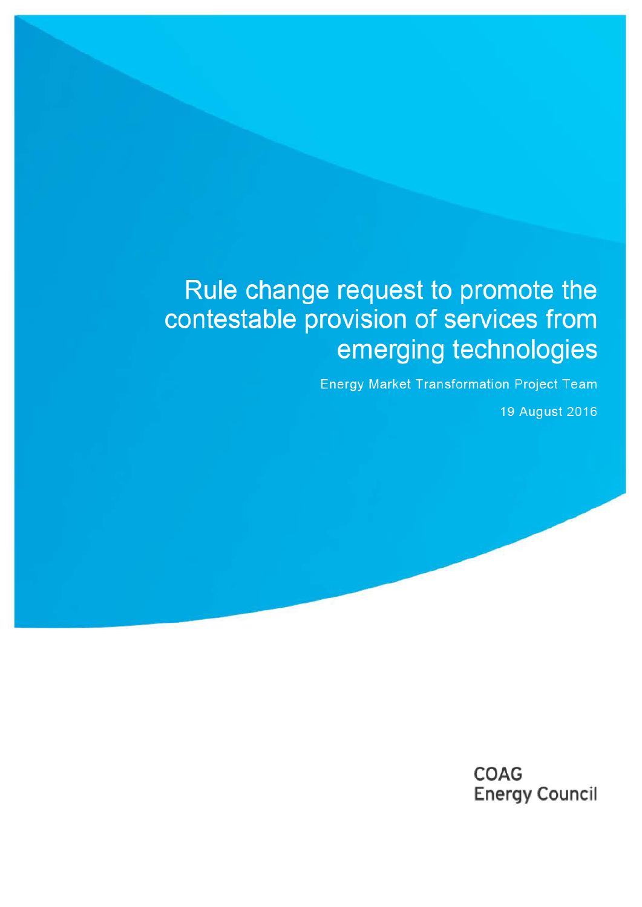# Rule change request to promote the contestable provision of services from emerging technologies

**Energy Market Transformation Project Team** 

19 August 2016

**COAG Energy Council**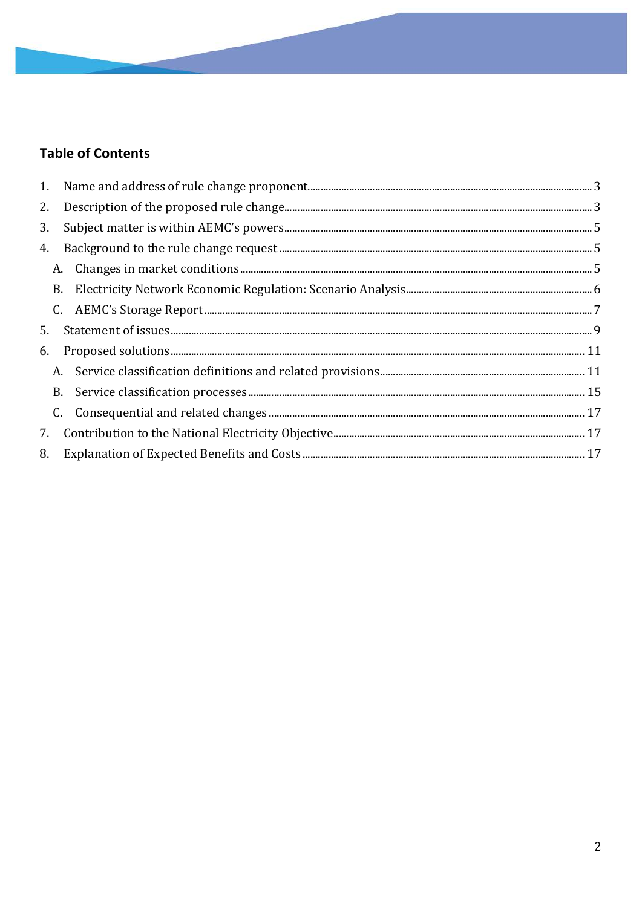## **Table of Contents**

| 2. |  |  |
|----|--|--|
| 3. |  |  |
| 4. |  |  |
|    |  |  |
|    |  |  |
|    |  |  |
| 5. |  |  |
| 6. |  |  |
|    |  |  |
|    |  |  |
|    |  |  |
| 7. |  |  |
| 8. |  |  |
|    |  |  |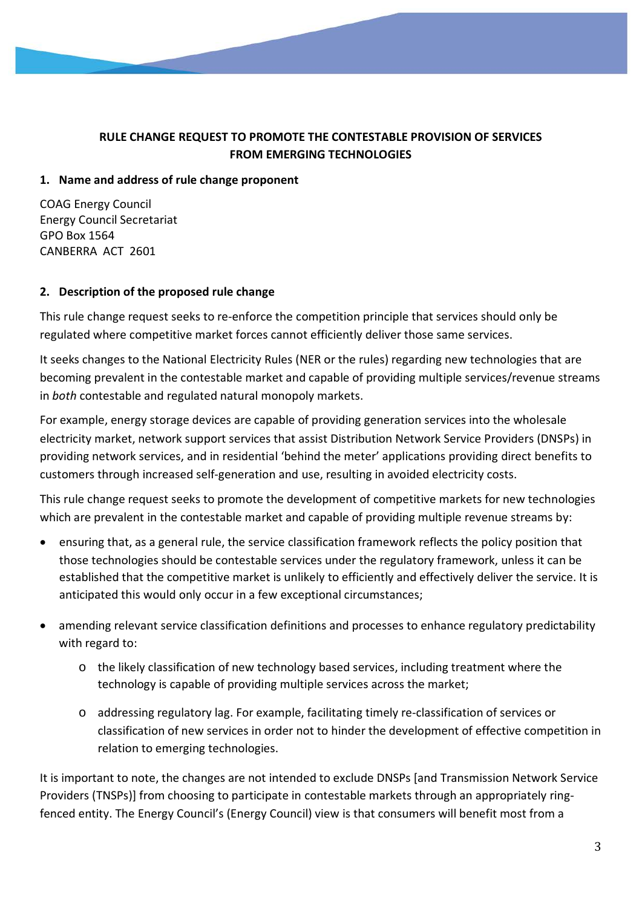## **RULE CHANGE REQUEST TO PROMOTE THE CONTESTABLE PROVISION OF SERVICES FROM EMERGING TECHNOLOGIES**

## **1. Name and address of rule change proponent**

COAG Energy Council Energy Council Secretariat GPO Box 1564 CANBERRA ACT 2601

## **2. Description of the proposed rule change**

This rule change request seeks to re-enforce the competition principle that services should only be regulated where competitive market forces cannot efficiently deliver those same services.

It seeks changes to the National Electricity Rules (NER or the rules) regarding new technologies that are becoming prevalent in the contestable market and capable of providing multiple services/revenue streams in *both* contestable and regulated natural monopoly markets.

For example, energy storage devices are capable of providing generation services into the wholesale electricity market, network support services that assist Distribution Network Service Providers (DNSPs) in providing network services, and in residential 'behind the meter' applications providing direct benefits to customers through increased self-generation and use, resulting in avoided electricity costs.

This rule change request seeks to promote the development of competitive markets for new technologies which are prevalent in the contestable market and capable of providing multiple revenue streams by:

- ensuring that, as a general rule, the service classification framework reflects the policy position that those technologies should be contestable services under the regulatory framework, unless it can be established that the competitive market is unlikely to efficiently and effectively deliver the service. It is anticipated this would only occur in a few exceptional circumstances;
- amending relevant service classification definitions and processes to enhance regulatory predictability with regard to:
	- $\circ$  the likely classification of new technology based services, including treatment where the technology is capable of providing multiple services across the market;
	- o addressing regulatory lag. For example, facilitating timely re-classification of services or classification of new services in order not to hinder the development of effective competition in relation to emerging technologies.

It is important to note, the changes are not intended to exclude DNSPs [and Transmission Network Service Providers (TNSPs)] from choosing to participate in contestable markets through an appropriately ringfenced entity. The Energy Council's (Energy Council) view is that consumers will benefit most from a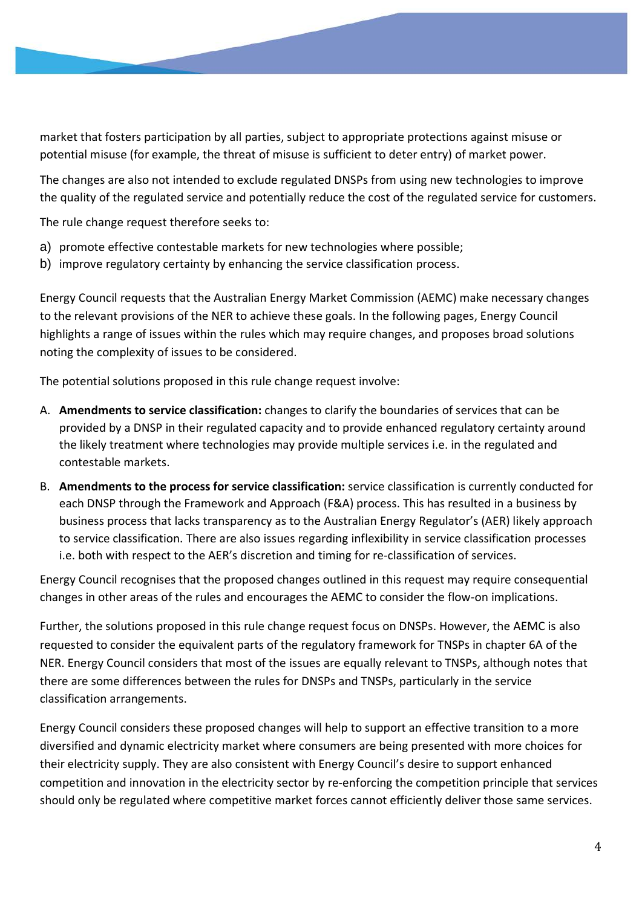market that fosters participation by all parties, subject to appropriate protections against misuse or potential misuse (for example, the threat of misuse is sufficient to deter entry) of market power.

The changes are also not intended to exclude regulated DNSPs from using new technologies to improve the quality of the regulated service and potentially reduce the cost of the regulated service for customers.

The rule change request therefore seeks to:

- a) promote effective contestable markets for new technologies where possible;
- b) improve regulatory certainty by enhancing the service classification process.

Energy Council requests that the Australian Energy Market Commission (AEMC) make necessary changes to the relevant provisions of the NER to achieve these goals. In the following pages, Energy Council highlights a range of issues within the rules which may require changes, and proposes broad solutions noting the complexity of issues to be considered.

The potential solutions proposed in this rule change request involve:

- A. **Amendments to service classification:** changes to clarify the boundaries of services that can be provided by a DNSP in their regulated capacity and to provide enhanced regulatory certainty around the likely treatment where technologies may provide multiple services i.e. in the regulated and contestable markets.
- B. **Amendments to the process for service classification:** service classification is currently conducted for each DNSP through the Framework and Approach (F&A) process. This has resulted in a business by business process that lacks transparency as to the Australian Energy Regulator's (AER) likely approach to service classification. There are also issues regarding inflexibility in service classification processes i.e. both with respect to the AER's discretion and timing for re-classification of services.

Energy Council recognises that the proposed changes outlined in this request may require consequential changes in other areas of the rules and encourages the AEMC to consider the flow-on implications.

Further, the solutions proposed in this rule change request focus on DNSPs. However, the AEMC is also requested to consider the equivalent parts of the regulatory framework for TNSPs in chapter 6A of the NER. Energy Council considers that most of the issues are equally relevant to TNSPs, although notes that there are some differences between the rules for DNSPs and TNSPs, particularly in the service classification arrangements.

Energy Council considers these proposed changes will help to support an effective transition to a more diversified and dynamic electricity market where consumers are being presented with more choices for their electricity supply. They are also consistent with Energy Council's desire to support enhanced competition and innovation in the electricity sector by re-enforcing the competition principle that services should only be regulated where competitive market forces cannot efficiently deliver those same services.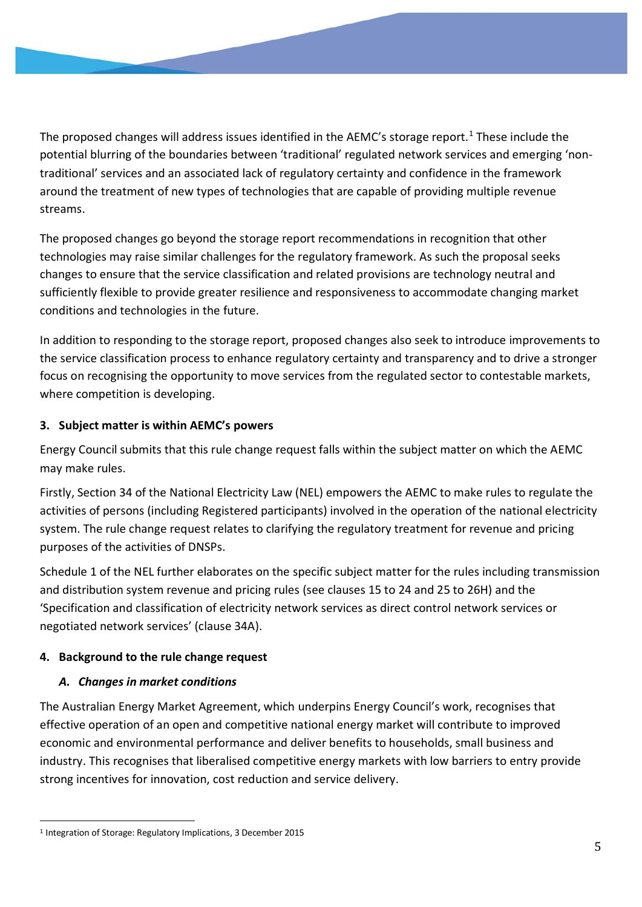The proposed changes will address issues identified in the AEMC's storage report.<sup>1</sup> These include the potential blurring of the boundaries between 'traditional' regulated network services and emerging 'nontraditional' services and an associated lack of regulatory certainty and confidence in the framework around the treatment of new types of technologies that are capable of providing multiple revenue streams.

The proposed changes go beyond the storage report recommendations in recognition that other technologies may raise similar challenges for the regulatory framework. As such the proposal seeks changes to ensure that the service classification and related provisions are technology neutral and sufficiently flexible to provide greater resilience and responsiveness to accommodate changing market conditions and technologies in the future.

In addition to responding to the storage report, proposed changes also seek to introduce improvements to the service classification process to enhance regulatory certainty and transparency and to drive a stronger focus on recognising the opportunity to move services from the regulated sector to contestable markets, where competition is developing.

## **3. Subject matter is within AEMC's powers**

Energy Council submits that this rule change request falls within the subject matter on which the AEMC may make rules.

Firstly, Section 34 of the National Electricity Law (NEL) empowers the AEMC to make rules to regulate the activities of persons (including Registered participants) involved in the operation of the national electricity system. The rule change request relates to clarifying the regulatory treatment for revenue and pricing purposes of the activities of DNSPs.

Schedule 1 of the NEL further elaborates on the specific subject matter for the rules including transmission and distribution system revenue and pricing rules (see clauses 15 to 24 and 25 to 26H) and the 'Specification and classification of electricity network services as direct control network services or negotiated network services' (clause 34A).

## **4. Background to the rule change request**

## *A. Changes in market conditions*

The Australian Energy Market Agreement, which underpins Energy Council's work, recognises that effective operation of an open and competitive national energy market will contribute to improved economic and environmental performance and deliver benefits to households, small business and industry. This recognises that liberalised competitive energy markets with low barriers to entry provide strong incentives for innovation, cost reduction and service delivery.

<sup>1</sup> Integration of Storage: Regulatory Implications, 3 December 2015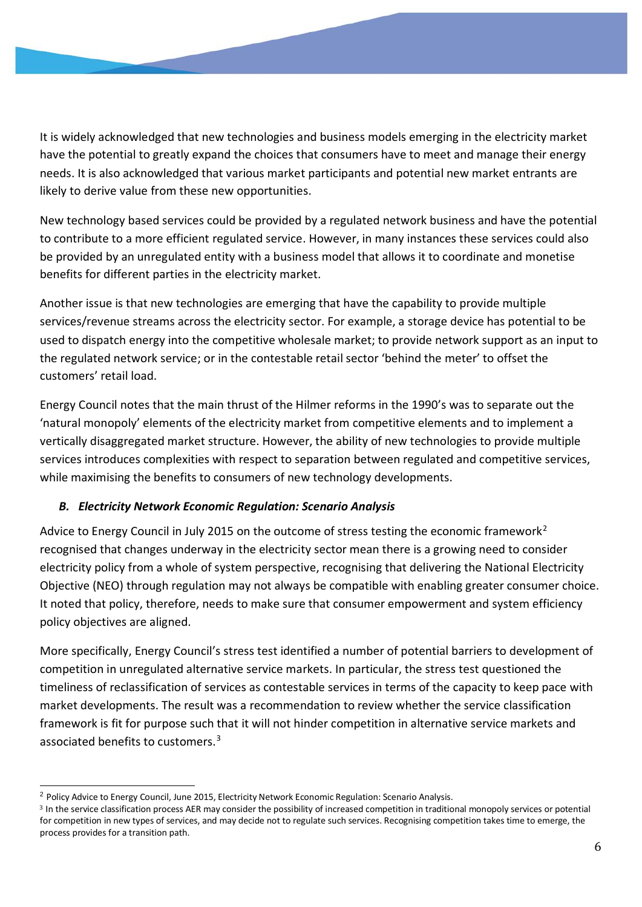It is widely acknowledged that new technologies and business models emerging in the electricity market have the potential to greatly expand the choices that consumers have to meet and manage their energy needs. It is also acknowledged that various market participants and potential new market entrants are likely to derive value from these new opportunities.

New technology based services could be provided by a regulated network business and have the potential to contribute to a more efficient regulated service. However, in many instances these services could also be provided by an unregulated entity with a business model that allows it to coordinate and monetise benefits for different parties in the electricity market.

Another issue is that new technologies are emerging that have the capability to provide multiple services/revenue streams across the electricity sector. For example, a storage device has potential to be used to dispatch energy into the competitive wholesale market; to provide network support as an input to the regulated network service; or in the contestable retail sector 'behind the meter' to offset the customers' retail load.

Energy Council notes that the main thrust of the Hilmer reforms in the 1990's was to separate out the 'natural monopoly' elements of the electricity market from competitive elements and to implement a vertically disaggregated market structure. However, the ability of new technologies to provide multiple services introduces complexities with respect to separation between regulated and competitive services, while maximising the benefits to consumers of new technology developments.

## *B. Electricity Network Economic Regulation: Scenario Analysis*

Advice to Energy Council in July 2015 on the outcome of stress testing the economic framework<sup>2</sup> recognised that changes underway in the electricity sector mean there is a growing need to consider electricity policy from a whole of system perspective, recognising that delivering the National Electricity Objective (NEO) through regulation may not always be compatible with enabling greater consumer choice. It noted that policy, therefore, needs to make sure that consumer empowerment and system efficiency policy objectives are aligned.

More specifically, Energy Council's stress test identified a number of potential barriers to development of competition in unregulated alternative service markets. In particular, the stress test questioned the timeliness of reclassification of services as contestable services in terms of the capacity to keep pace with market developments. The result was a recommendation to review whether the service classification framework is fit for purpose such that it will not hinder competition in alternative service markets and associated benefits to customers.3

<sup>&</sup>lt;sup>2</sup> Policy Advice to Energy Council, June 2015, Electricity Network Economic Regulation: Scenario Analysis.

<sup>3</sup> In the service classification process AER may consider the possibility of increased competition in traditional monopoly services or potential for competition in new types of services, and may decide not to regulate such services. Recognising competition takes time to emerge, the process provides for a transition path.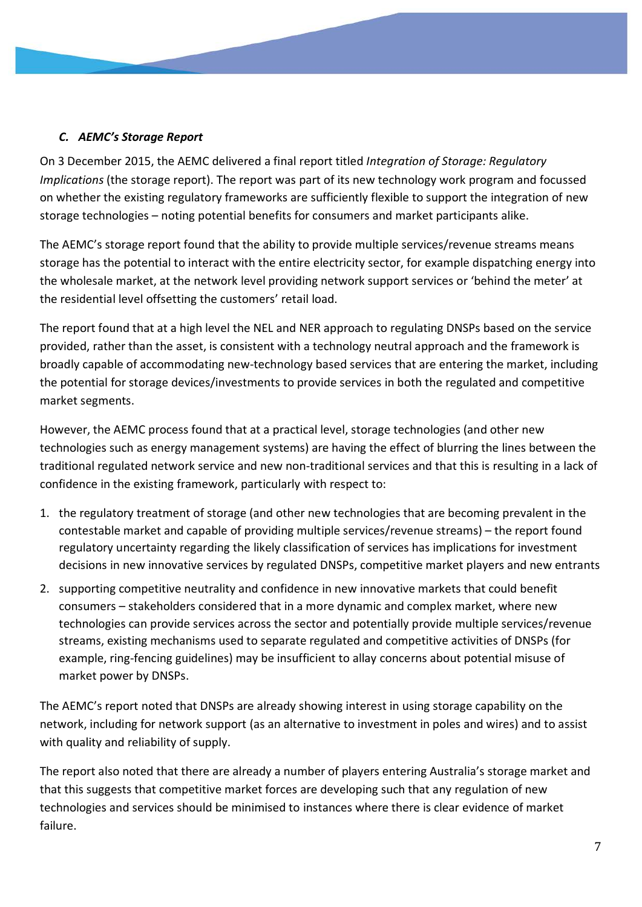## *C. AEMC's Storage Report*

On 3 December 2015, the AEMC delivered a final report titled *Integration of Storage: Regulatory Implications* (the storage report). The report was part of its new technology work program and focussed on whether the existing regulatory frameworks are sufficiently flexible to support the integration of new storage technologies – noting potential benefits for consumers and market participants alike.

The AEMC's storage report found that the ability to provide multiple services/revenue streams means storage has the potential to interact with the entire electricity sector, for example dispatching energy into the wholesale market, at the network level providing network support services or 'behind the meter' at the residential level offsetting the customers' retail load.

The report found that at a high level the NEL and NER approach to regulating DNSPs based on the service provided, rather than the asset, is consistent with a technology neutral approach and the framework is broadly capable of accommodating new-technology based services that are entering the market, including the potential for storage devices/investments to provide services in both the regulated and competitive market segments.

However, the AEMC process found that at a practical level, storage technologies (and other new technologies such as energy management systems) are having the effect of blurring the lines between the traditional regulated network service and new non-traditional services and that this is resulting in a lack of confidence in the existing framework, particularly with respect to:

- 1. the regulatory treatment of storage (and other new technologies that are becoming prevalent in the contestable market and capable of providing multiple services/revenue streams) – the report found regulatory uncertainty regarding the likely classification of services has implications for investment decisions in new innovative services by regulated DNSPs, competitive market players and new entrants
- 2. supporting competitive neutrality and confidence in new innovative markets that could benefit consumers – stakeholders considered that in a more dynamic and complex market, where new technologies can provide services across the sector and potentially provide multiple services/revenue streams, existing mechanisms used to separate regulated and competitive activities of DNSPs (for example, ring-fencing guidelines) may be insufficient to allay concerns about potential misuse of market power by DNSPs.

The AEMC's report noted that DNSPs are already showing interest in using storage capability on the network, including for network support (as an alternative to investment in poles and wires) and to assist with quality and reliability of supply.

The report also noted that there are already a number of players entering Australia's storage market and that this suggests that competitive market forces are developing such that any regulation of new technologies and services should be minimised to instances where there is clear evidence of market failure.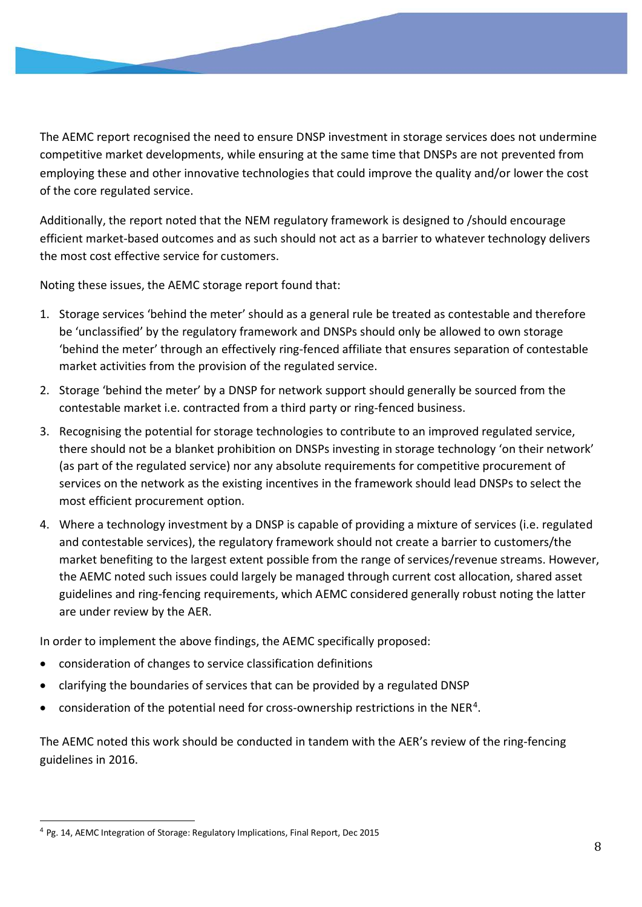The AEMC report recognised the need to ensure DNSP investment in storage services does not undermine competitive market developments, while ensuring at the same time that DNSPs are not prevented from employing these and other innovative technologies that could improve the quality and/or lower the cost of the core regulated service.

Additionally, the report noted that the NEM regulatory framework is designed to /should encourage efficient market-based outcomes and as such should not act as a barrier to whatever technology delivers the most cost effective service for customers.

Noting these issues, the AEMC storage report found that:

- 1. Storage services 'behind the meter' should as a general rule be treated as contestable and therefore be 'unclassified' by the regulatory framework and DNSPs should only be allowed to own storage 'behind the meter' through an effectively ring-fenced affiliate that ensures separation of contestable market activities from the provision of the regulated service.
- 2. Storage 'behind the meter' by a DNSP for network support should generally be sourced from the contestable market i.e. contracted from a third party or ring-fenced business.
- 3. Recognising the potential for storage technologies to contribute to an improved regulated service, there should not be a blanket prohibition on DNSPs investing in storage technology 'on their network' (as part of the regulated service) nor any absolute requirements for competitive procurement of services on the network as the existing incentives in the framework should lead DNSPs to select the most efficient procurement option.
- 4. Where a technology investment by a DNSP is capable of providing a mixture of services (i.e. regulated and contestable services), the regulatory framework should not create a barrier to customers/the market benefiting to the largest extent possible from the range of services/revenue streams. However, the AEMC noted such issues could largely be managed through current cost allocation, shared asset guidelines and ring-fencing requirements, which AEMC considered generally robust noting the latter are under review by the AER.

In order to implement the above findings, the AEMC specifically proposed:

- consideration of changes to service classification definitions
- clarifying the boundaries of services that can be provided by a regulated DNSP
- consideration of the potential need for cross-ownership restrictions in the NER4.

The AEMC noted this work should be conducted in tandem with the AER's review of the ring-fencing guidelines in 2016.

<sup>4</sup> Pg. 14, AEMC Integration of Storage: Regulatory Implications, Final Report, Dec 2015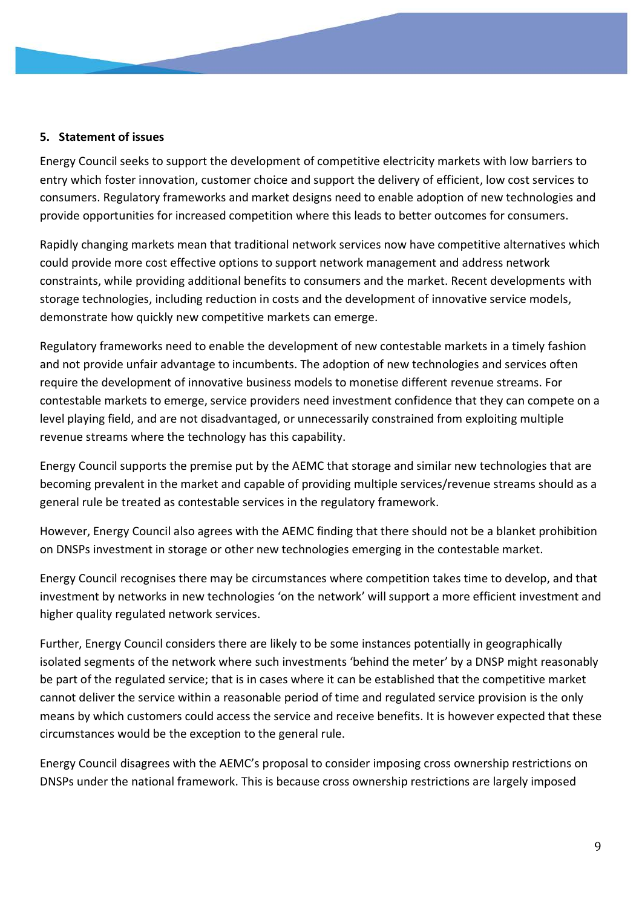#### **5. Statement of issues**

Energy Council seeks to support the development of competitive electricity markets with low barriers to entry which foster innovation, customer choice and support the delivery of efficient, low cost services to consumers. Regulatory frameworks and market designs need to enable adoption of new technologies and provide opportunities for increased competition where this leads to better outcomes for consumers.

Rapidly changing markets mean that traditional network services now have competitive alternatives which could provide more cost effective options to support network management and address network constraints, while providing additional benefits to consumers and the market. Recent developments with storage technologies, including reduction in costs and the development of innovative service models, demonstrate how quickly new competitive markets can emerge.

Regulatory frameworks need to enable the development of new contestable markets in a timely fashion and not provide unfair advantage to incumbents. The adoption of new technologies and services often require the development of innovative business models to monetise different revenue streams. For contestable markets to emerge, service providers need investment confidence that they can compete on a level playing field, and are not disadvantaged, or unnecessarily constrained from exploiting multiple revenue streams where the technology has this capability.

Energy Council supports the premise put by the AEMC that storage and similar new technologies that are becoming prevalent in the market and capable of providing multiple services/revenue streams should as a general rule be treated as contestable services in the regulatory framework.

However, Energy Council also agrees with the AEMC finding that there should not be a blanket prohibition on DNSPs investment in storage or other new technologies emerging in the contestable market.

Energy Council recognises there may be circumstances where competition takes time to develop, and that investment by networks in new technologies 'on the network' will support a more efficient investment and higher quality regulated network services.

Further, Energy Council considers there are likely to be some instances potentially in geographically isolated segments of the network where such investments 'behind the meter' by a DNSP might reasonably be part of the regulated service; that is in cases where it can be established that the competitive market cannot deliver the service within a reasonable period of time and regulated service provision is the only means by which customers could access the service and receive benefits. It is however expected that these circumstances would be the exception to the general rule.

Energy Council disagrees with the AEMC's proposal to consider imposing cross ownership restrictions on DNSPs under the national framework. This is because cross ownership restrictions are largely imposed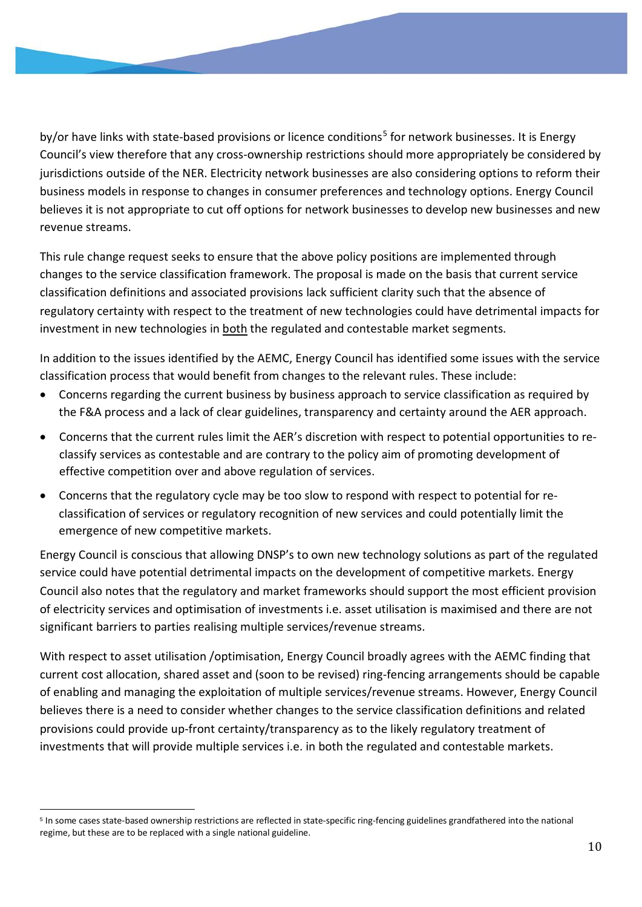by/or have links with state-based provisions or licence conditions<sup>5</sup> for network businesses. It is Energy Council's view therefore that any cross-ownership restrictions should more appropriately be considered by jurisdictions outside of the NER. Electricity network businesses are also considering options to reform their business models in response to changes in consumer preferences and technology options. Energy Council believes it is not appropriate to cut off options for network businesses to develop new businesses and new revenue streams.

This rule change request seeks to ensure that the above policy positions are implemented through changes to the service classification framework. The proposal is made on the basis that current service classification definitions and associated provisions lack sufficient clarity such that the absence of regulatory certainty with respect to the treatment of new technologies could have detrimental impacts for investment in new technologies in both the regulated and contestable market segments.

In addition to the issues identified by the AEMC, Energy Council has identified some issues with the service classification process that would benefit from changes to the relevant rules. These include:

- Concerns regarding the current business by business approach to service classification as required by the F&A process and a lack of clear guidelines, transparency and certainty around the AER approach.
- Concerns that the current rules limit the AER's discretion with respect to potential opportunities to reclassify services as contestable and are contrary to the policy aim of promoting development of effective competition over and above regulation of services.
- Concerns that the regulatory cycle may be too slow to respond with respect to potential for reclassification of services or regulatory recognition of new services and could potentially limit the emergence of new competitive markets.

Energy Council is conscious that allowing DNSP's to own new technology solutions as part of the regulated service could have potential detrimental impacts on the development of competitive markets. Energy Council also notes that the regulatory and market frameworks should support the most efficient provision of electricity services and optimisation of investments i.e. asset utilisation is maximised and there are not significant barriers to parties realising multiple services/revenue streams.

With respect to asset utilisation /optimisation, Energy Council broadly agrees with the AEMC finding that current cost allocation, shared asset and (soon to be revised) ring-fencing arrangements should be capable of enabling and managing the exploitation of multiple services/revenue streams. However, Energy Council believes there is a need to consider whether changes to the service classification definitions and related provisions could provide up-front certainty/transparency as to the likely regulatory treatment of investments that will provide multiple services i.e. in both the regulated and contestable markets.

<sup>5</sup> In some cases state-based ownership restrictions are reflected in state-specific ring-fencing guidelines grandfathered into the national regime, but these are to be replaced with a single national guideline.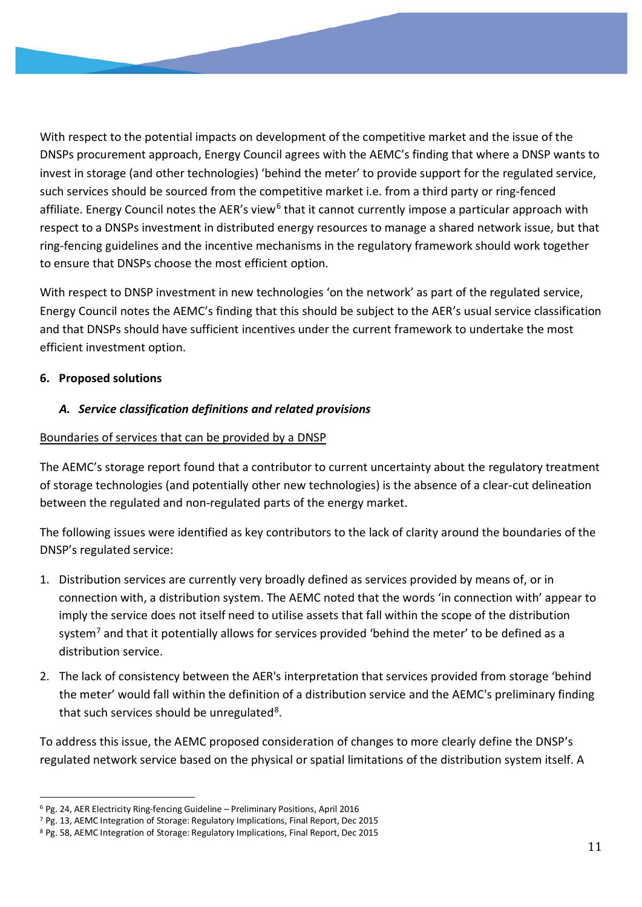With respect to the potential impacts on development of the competitive market and the issue of the DNSPs procurement approach, Energy Council agrees with the AEMC's finding that where a DNSP wants to invest in storage (and other technologies) 'behind the meter' to provide support for the regulated service, such services should be sourced from the competitive market i.e. from a third party or ring-fenced affiliate. Energy Council notes the AER's view<sup>6</sup> that it cannot currently impose a particular approach with respect to a DNSPs investment in distributed energy resources to manage a shared network issue, but that ring-fencing guidelines and the incentive mechanisms in the regulatory framework should work together to ensure that DNSPs choose the most efficient option.

With respect to DNSP investment in new technologies 'on the network' as part of the regulated service, Energy Council notes the AEMC's finding that this should be subject to the AER's usual service classification and that DNSPs should have sufficient incentives under the current framework to undertake the most efficient investment option.

## **6. Proposed solutions**

## *A. Service classification definitions and related provisions*

## Boundaries of services that can be provided by a DNSP

The AEMC's storage report found that a contributor to current uncertainty about the regulatory treatment of storage technologies (and potentially other new technologies) is the absence of a clear-cut delineation between the regulated and non-regulated parts of the energy market.

The following issues were identified as key contributors to the lack of clarity around the boundaries of the DNSP's regulated service:

- 1. Distribution services are currently very broadly defined as services provided by means of, or in connection with, a distribution system. The AEMC noted that the words 'in connection with' appear to imply the service does not itself need to utilise assets that fall within the scope of the distribution system<sup>7</sup> and that it potentially allows for services provided 'behind the meter' to be defined as a distribution service.
- 2. The lack of consistency between the AER's interpretation that services provided from storage 'behind the meter' would fall within the definition of a distribution service and the AEMC's preliminary finding that such services should be unregulated $8$ .

To address this issue, the AEMC proposed consideration of changes to more clearly define the DNSP's regulated network service based on the physical or spatial limitations of the distribution system itself. A

<sup>6</sup> Pg. 24, AER Electricity Ring-fencing Guideline – Preliminary Positions, April 2016

<sup>7</sup> Pg. 13, AEMC Integration of Storage: Regulatory Implications, Final Report, Dec 2015

<sup>8</sup> Pg. 58, AEMC Integration of Storage: Regulatory Implications, Final Report, Dec 2015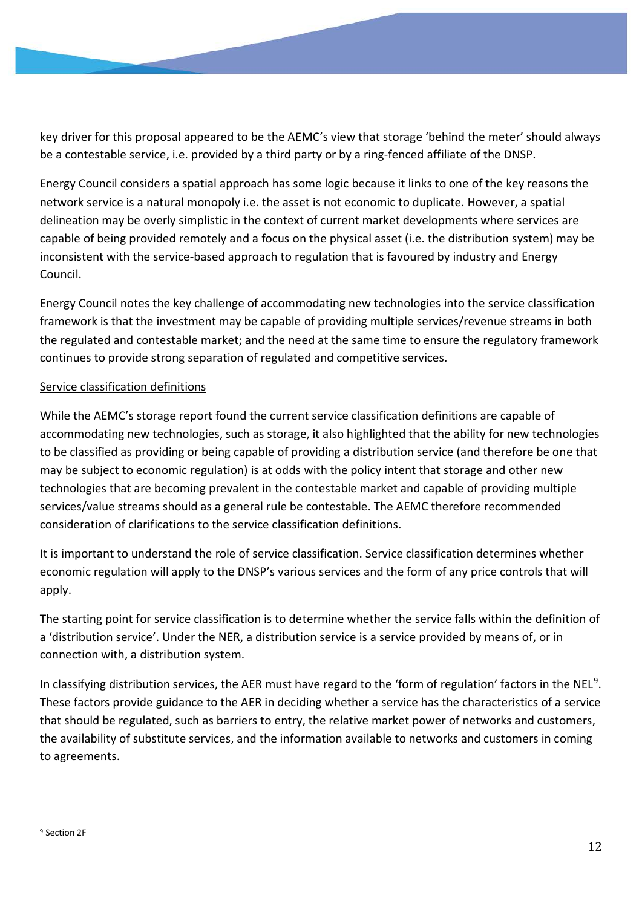key driver for this proposal appeared to be the AEMC's view that storage 'behind the meter' should always be a contestable service, i.e. provided by a third party or by a ring-fenced affiliate of the DNSP.

Energy Council considers a spatial approach has some logic because it links to one of the key reasons the network service is a natural monopoly i.e. the asset is not economic to duplicate. However, a spatial delineation may be overly simplistic in the context of current market developments where services are capable of being provided remotely and a focus on the physical asset (i.e. the distribution system) may be inconsistent with the service-based approach to regulation that is favoured by industry and Energy Council.

Energy Council notes the key challenge of accommodating new technologies into the service classification framework is that the investment may be capable of providing multiple services/revenue streams in both the regulated and contestable market; and the need at the same time to ensure the regulatory framework continues to provide strong separation of regulated and competitive services.

## Service classification definitions

While the AEMC's storage report found the current service classification definitions are capable of accommodating new technologies, such as storage, it also highlighted that the ability for new technologies to be classified as providing or being capable of providing a distribution service (and therefore be one that may be subject to economic regulation) is at odds with the policy intent that storage and other new technologies that are becoming prevalent in the contestable market and capable of providing multiple services/value streams should as a general rule be contestable. The AEMC therefore recommended consideration of clarifications to the service classification definitions.

It is important to understand the role of service classification. Service classification determines whether economic regulation will apply to the DNSP's various services and the form of any price controls that will apply.

The starting point for service classification is to determine whether the service falls within the definition of a 'distribution service'. Under the NER, a distribution service is a service provided by means of, or in connection with, a distribution system.

In classifying distribution services, the AER must have regard to the 'form of regulation' factors in the NEL<sup>9</sup>. These factors provide guidance to the AER in deciding whether a service has the characteristics of a service that should be regulated, such as barriers to entry, the relative market power of networks and customers, the availability of substitute services, and the information available to networks and customers in coming to agreements.

<sup>9</sup> Section 2F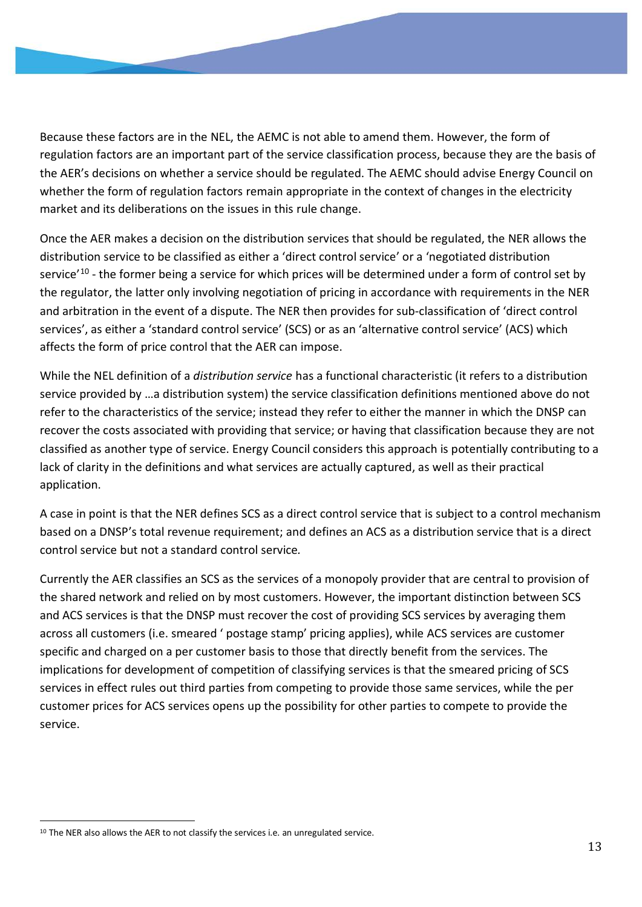Because these factors are in the NEL, the AEMC is not able to amend them. However, the form of regulation factors are an important part of the service classification process, because they are the basis of the AER's decisions on whether a service should be regulated. The AEMC should advise Energy Council on whether the form of regulation factors remain appropriate in the context of changes in the electricity market and its deliberations on the issues in this rule change.

Once the AER makes a decision on the distribution services that should be regulated, the NER allows the distribution service to be classified as either a 'direct control service' or a 'negotiated distribution service'10 - the former being a service for which prices will be determined under a form of control set by the regulator, the latter only involving negotiation of pricing in accordance with requirements in the NER and arbitration in the event of a dispute. The NER then provides for sub-classification of 'direct control services', as either a 'standard control service' (SCS) or as an 'alternative control service' (ACS) which affects the form of price control that the AER can impose.

While the NEL definition of a *distribution service* has a functional characteristic (it refers to a distribution service provided by …a distribution system) the service classification definitions mentioned above do not refer to the characteristics of the service; instead they refer to either the manner in which the DNSP can recover the costs associated with providing that service; or having that classification because they are not classified as another type of service. Energy Council considers this approach is potentially contributing to a lack of clarity in the definitions and what services are actually captured, as well as their practical application.

A case in point is that the NER defines SCS as a direct control service that is subject to a control mechanism based on a DNSP's total revenue requirement; and defines an ACS as a distribution service that is a direct control service but not a standard control service*.*

Currently the AER classifies an SCS as the services of a monopoly provider that are central to provision of the shared network and relied on by most customers. However, the important distinction between SCS and ACS services is that the DNSP must recover the cost of providing SCS services by averaging them across all customers (i.e. smeared ' postage stamp' pricing applies), while ACS services are customer specific and charged on a per customer basis to those that directly benefit from the services. The implications for development of competition of classifying services is that the smeared pricing of SCS services in effect rules out third parties from competing to provide those same services, while the per customer prices for ACS services opens up the possibility for other parties to compete to provide the service.

<sup>&</sup>lt;sup>10</sup> The NER also allows the AER to not classify the services i.e. an unregulated service.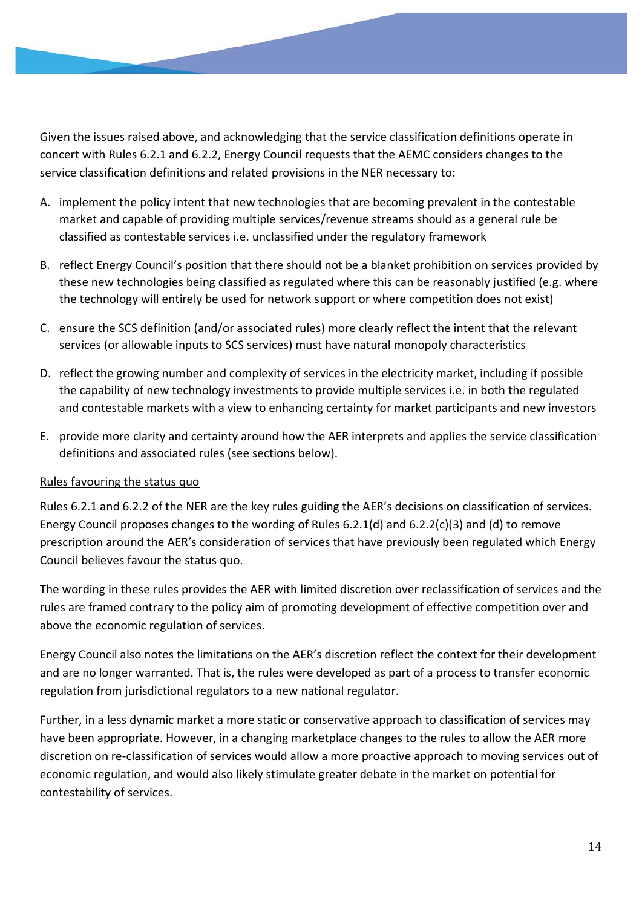Given the issues raised above, and acknowledging that the service classification definitions operate in concert with Rules 6.2.1 and 6.2.2, Energy Council requests that the AEMC considers changes to the service classification definitions and related provisions in the NER necessary to:

- A. implement the policy intent that new technologies that are becoming prevalent in the contestable market and capable of providing multiple services/revenue streams should as a general rule be classified as contestable services i.e. unclassified under the regulatory framework
- B. reflect Energy Council's position that there should not be a blanket prohibition on services provided by these new technologies being classified as regulated where this can be reasonably justified (e.g. where the technology will entirely be used for network support or where competition does not exist)
- C. ensure the SCS definition (and/or associated rules) more clearly reflect the intent that the relevant services (or allowable inputs to SCS services) must have natural monopoly characteristics
- D. reflect the growing number and complexity of services in the electricity market, including if possible the capability of new technology investments to provide multiple services i.e. in both the regulated and contestable markets with a view to enhancing certainty for market participants and new investors
- E. provide more clarity and certainty around how the AER interprets and applies the service classification definitions and associated rules (see sections below).

#### Rules favouring the status quo

Rules 6.2.1 and 6.2.2 of the NER are the key rules guiding the AER's decisions on classification of services. Energy Council proposes changes to the wording of Rules 6.2.1(d) and 6.2.2(c)(3) and (d) to remove prescription around the AER's consideration of services that have previously been regulated which Energy Council believes favour the status quo.

The wording in these rules provides the AER with limited discretion over reclassification of services and the rules are framed contrary to the policy aim of promoting development of effective competition over and above the economic regulation of services.

Energy Council also notes the limitations on the AER's discretion reflect the context for their development and are no longer warranted. That is, the rules were developed as part of a process to transfer economic regulation from jurisdictional regulators to a new national regulator.

Further, in a less dynamic market a more static or conservative approach to classification of services may have been appropriate. However, in a changing marketplace changes to the rules to allow the AER more discretion on re-classification of services would allow a more proactive approach to moving services out of economic regulation, and would also likely stimulate greater debate in the market on potential for contestability of services.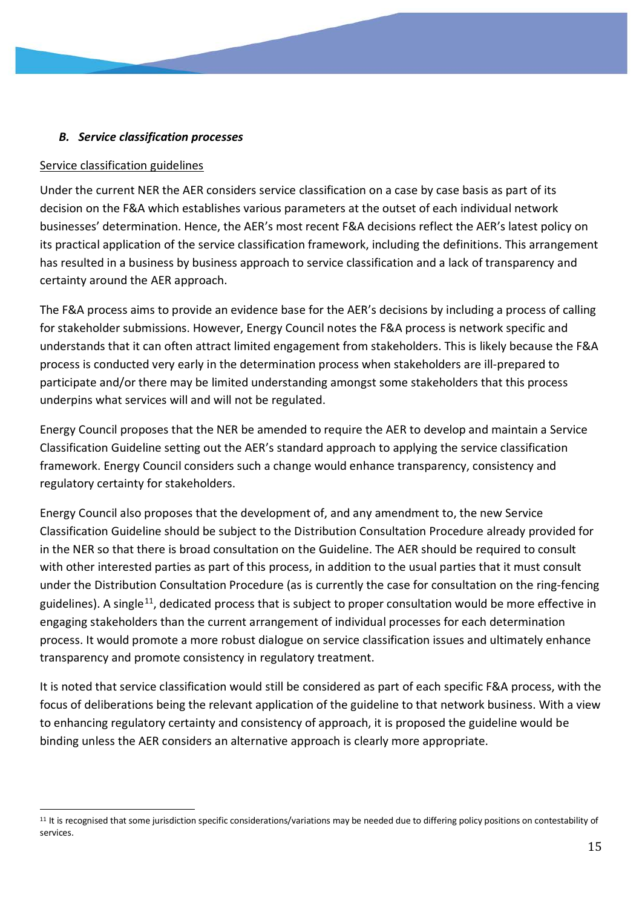## *B. Service classification processes*

#### Service classification guidelines

Under the current NER the AER considers service classification on a case by case basis as part of its decision on the F&A which establishes various parameters at the outset of each individual network businesses' determination. Hence, the AER's most recent F&A decisions reflect the AER's latest policy on its practical application of the service classification framework, including the definitions. This arrangement has resulted in a business by business approach to service classification and a lack of transparency and certainty around the AER approach.

The F&A process aims to provide an evidence base for the AER's decisions by including a process of calling for stakeholder submissions. However, Energy Council notes the F&A process is network specific and understands that it can often attract limited engagement from stakeholders. This is likely because the F&A process is conducted very early in the determination process when stakeholders are ill-prepared to participate and/or there may be limited understanding amongst some stakeholders that this process underpins what services will and will not be regulated.

Energy Council proposes that the NER be amended to require the AER to develop and maintain a Service Classification Guideline setting out the AER's standard approach to applying the service classification framework. Energy Council considers such a change would enhance transparency, consistency and regulatory certainty for stakeholders.

Energy Council also proposes that the development of, and any amendment to, the new Service Classification Guideline should be subject to the Distribution Consultation Procedure already provided for in the NER so that there is broad consultation on the Guideline. The AER should be required to consult with other interested parties as part of this process, in addition to the usual parties that it must consult under the Distribution Consultation Procedure (as is currently the case for consultation on the ring-fencing guidelines). A single<sup>11</sup>, dedicated process that is subject to proper consultation would be more effective in engaging stakeholders than the current arrangement of individual processes for each determination process. It would promote a more robust dialogue on service classification issues and ultimately enhance transparency and promote consistency in regulatory treatment.

It is noted that service classification would still be considered as part of each specific F&A process, with the focus of deliberations being the relevant application of the guideline to that network business. With a view to enhancing regulatory certainty and consistency of approach, it is proposed the guideline would be binding unless the AER considers an alternative approach is clearly more appropriate.

<sup>&</sup>lt;sup>11</sup> It is recognised that some jurisdiction specific considerations/variations may be needed due to differing policy positions on contestability of services.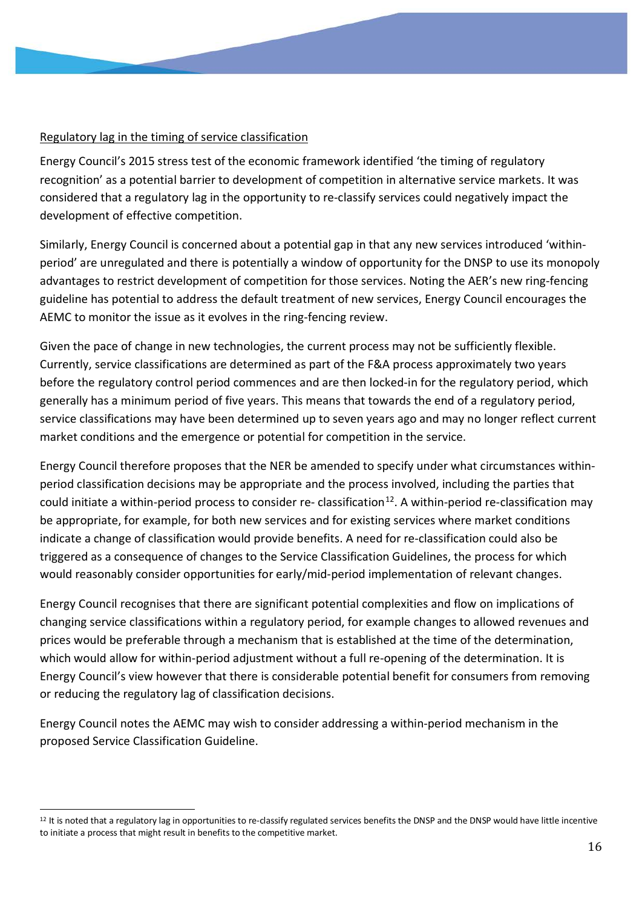## Regulatory lag in the timing of service classification

Energy Council's 2015 stress test of the economic framework identified 'the timing of regulatory recognition' as a potential barrier to development of competition in alternative service markets. It was considered that a regulatory lag in the opportunity to re-classify services could negatively impact the development of effective competition.

Similarly, Energy Council is concerned about a potential gap in that any new services introduced 'withinperiod' are unregulated and there is potentially a window of opportunity for the DNSP to use its monopoly advantages to restrict development of competition for those services. Noting the AER's new ring-fencing guideline has potential to address the default treatment of new services, Energy Council encourages the AEMC to monitor the issue as it evolves in the ring-fencing review.

Given the pace of change in new technologies, the current process may not be sufficiently flexible. Currently, service classifications are determined as part of the F&A process approximately two years before the regulatory control period commences and are then locked-in for the regulatory period, which generally has a minimum period of five years. This means that towards the end of a regulatory period, service classifications may have been determined up to seven years ago and may no longer reflect current market conditions and the emergence or potential for competition in the service.

Energy Council therefore proposes that the NER be amended to specify under what circumstances withinperiod classification decisions may be appropriate and the process involved, including the parties that could initiate a within-period process to consider re-classification<sup>12</sup>. A within-period re-classification may be appropriate, for example, for both new services and for existing services where market conditions indicate a change of classification would provide benefits. A need for re-classification could also be triggered as a consequence of changes to the Service Classification Guidelines, the process for which would reasonably consider opportunities for early/mid-period implementation of relevant changes.

Energy Council recognises that there are significant potential complexities and flow on implications of changing service classifications within a regulatory period, for example changes to allowed revenues and prices would be preferable through a mechanism that is established at the time of the determination, which would allow for within-period adjustment without a full re-opening of the determination. It is Energy Council's view however that there is considerable potential benefit for consumers from removing or reducing the regulatory lag of classification decisions.

Energy Council notes the AEMC may wish to consider addressing a within-period mechanism in the proposed Service Classification Guideline.

<sup>&</sup>lt;sup>12</sup> It is noted that a regulatory lag in opportunities to re-classify regulated services benefits the DNSP and the DNSP would have little incentive to initiate a process that might result in benefits to the competitive market.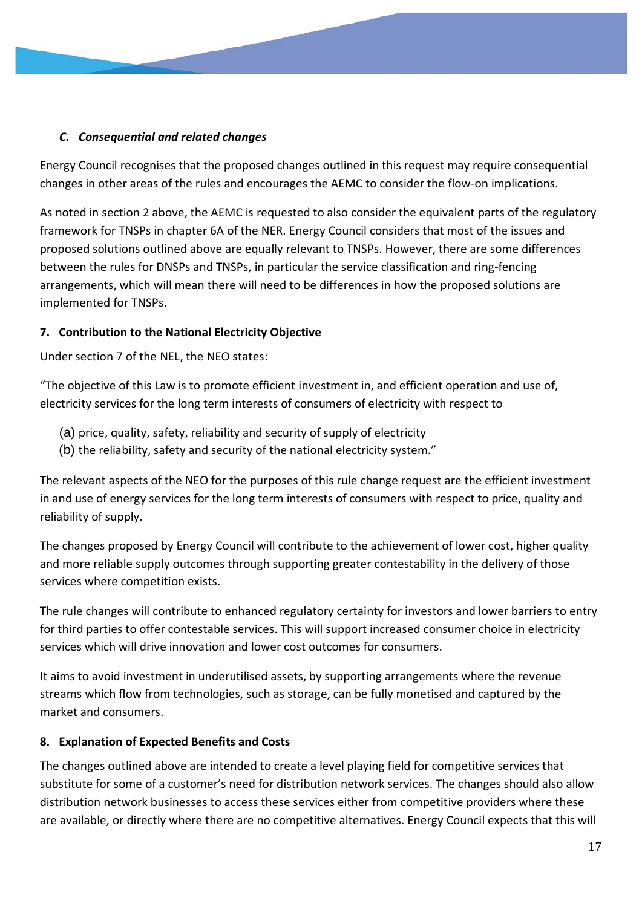## *C. Consequential and related changes*

Energy Council recognises that the proposed changes outlined in this request may require consequential changes in other areas of the rules and encourages the AEMC to consider the flow-on implications.

As noted in section 2 above, the AEMC is requested to also consider the equivalent parts of the regulatory framework for TNSPs in chapter 6A of the NER. Energy Council considers that most of the issues and proposed solutions outlined above are equally relevant to TNSPs. However, there are some differences between the rules for DNSPs and TNSPs, in particular the service classification and ring-fencing arrangements, which will mean there will need to be differences in how the proposed solutions are implemented for TNSPs.

## **7. Contribution to the National Electricity Objective**

Under section 7 of the NEL, the NEO states:

"The objective of this Law is to promote efficient investment in, and efficient operation and use of, electricity services for the long term interests of consumers of electricity with respect to

- (a) price, quality, safety, reliability and security of supply of electricity
- (b) the reliability, safety and security of the national electricity system."

The relevant aspects of the NEO for the purposes of this rule change request are the efficient investment in and use of energy services for the long term interests of consumers with respect to price, quality and reliability of supply.

The changes proposed by Energy Council will contribute to the achievement of lower cost, higher quality and more reliable supply outcomes through supporting greater contestability in the delivery of those services where competition exists.

The rule changes will contribute to enhanced regulatory certainty for investors and lower barriers to entry for third parties to offer contestable services. This will support increased consumer choice in electricity services which will drive innovation and lower cost outcomes for consumers.

It aims to avoid investment in underutilised assets, by supporting arrangements where the revenue streams which flow from technologies, such as storage, can be fully monetised and captured by the market and consumers.

## **8. Explanation of Expected Benefits and Costs**

The changes outlined above are intended to create a level playing field for competitive services that substitute for some of a customer's need for distribution network services. The changes should also allow distribution network businesses to access these services either from competitive providers where these are available, or directly where there are no competitive alternatives. Energy Council expects that this will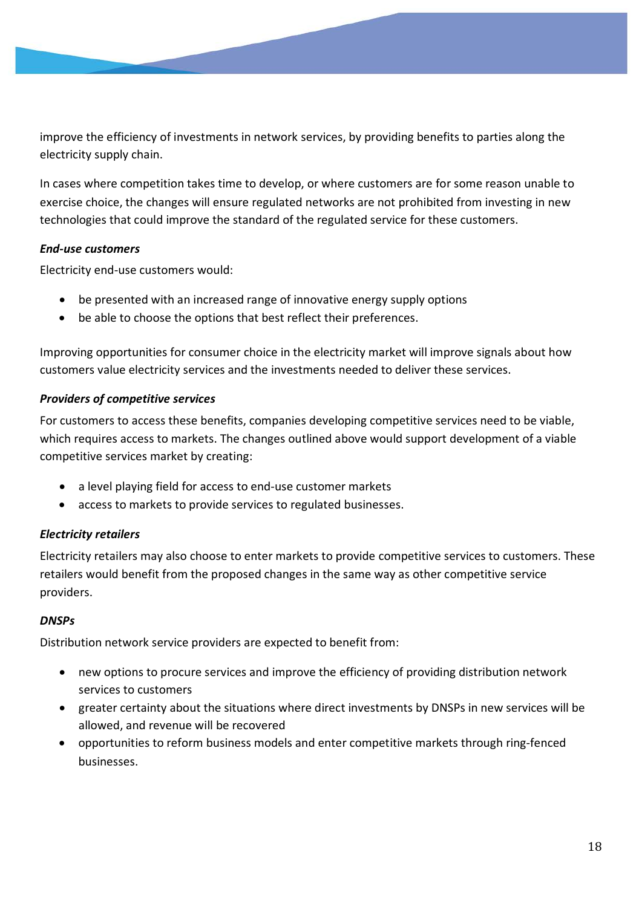improve the efficiency of investments in network services, by providing benefits to parties along the electricity supply chain.

In cases where competition takes time to develop, or where customers are for some reason unable to exercise choice, the changes will ensure regulated networks are not prohibited from investing in new technologies that could improve the standard of the regulated service for these customers.

## *End-use customers*

Electricity end-use customers would:

- be presented with an increased range of innovative energy supply options
- be able to choose the options that best reflect their preferences.

Improving opportunities for consumer choice in the electricity market will improve signals about how customers value electricity services and the investments needed to deliver these services.

#### *Providers of competitive services*

For customers to access these benefits, companies developing competitive services need to be viable, which requires access to markets. The changes outlined above would support development of a viable competitive services market by creating:

- a level playing field for access to end-use customer markets
- access to markets to provide services to regulated businesses.

## *Electricity retailers*

Electricity retailers may also choose to enter markets to provide competitive services to customers. These retailers would benefit from the proposed changes in the same way as other competitive service providers.

#### *DNSPs*

Distribution network service providers are expected to benefit from:

- new options to procure services and improve the efficiency of providing distribution network services to customers
- greater certainty about the situations where direct investments by DNSPs in new services will be allowed, and revenue will be recovered
- opportunities to reform business models and enter competitive markets through ring-fenced businesses.